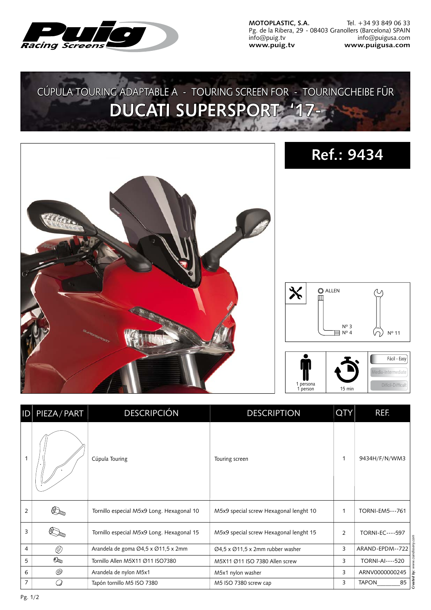

**MOTOPLASTIC, S.A.** Pg. de la Ribera, 29 - 08403 Granollers (Barcelona) SPAIN info@puig.tv **www.puig.tv** Tel. +34 93 849 06 33 info@puigusa.com **www.puigusa.com**

## CÚPULA TOURING ADAPTABLE A - TOURING SCREEN FOR - TOURINGCHEIBE FÜR **DUCATI SUPERSPORT '17-**



| D | PIEZA / PART             | <b>DESCRIPCIÓN</b>                        | <b>DESCRIPTION</b>                                         | <b>QTY</b> | REF.                         |
|---|--------------------------|-------------------------------------------|------------------------------------------------------------|------------|------------------------------|
| 1 |                          | Cúpula Touring                            | Touring screen                                             | 1          | 9434H/F/N/WM3                |
| 2 |                          | Tornillo especial M5x9 Long. Hexagonal 10 | M5x9 special screw Hexagonal lenght 10                     | 1          | <b>TORNI-EM5---761</b>       |
| 3 |                          | Tornillo especial M5x9 Long. Hexagonal 15 | M5x9 special screw Hexagonal lenght 15                     | 2          | <b>TORNI-EC----597</b>       |
| 4 | Ø)                       | Arandela de goma Ø4,5 x Ø11,5 x 2mm       | $\varnothing$ 4,5 x $\varnothing$ 11,5 x 2mm rubber washer | 3          | ARAND-EPDM--722              |
| 5 | $\mathcal{O}_\mathbb{Z}$ | Tornillo Allen M5X11 Ø11 ISO7380          | M5X11 Ø11 ISO 7380 Allen screw                             | 3          | TORNI-AI----520              |
| 6 | ©)                       | Arandela de nylon M5x1                    | M5x1 nylon washer                                          | 3          | ARNV0000000245<br>ä          |
| 7 |                          | Tapón tornillo M5 ISO 7380                | M5 ISO 7380 screw cap                                      | 3          | Create<br>85<br><b>TAPON</b> |